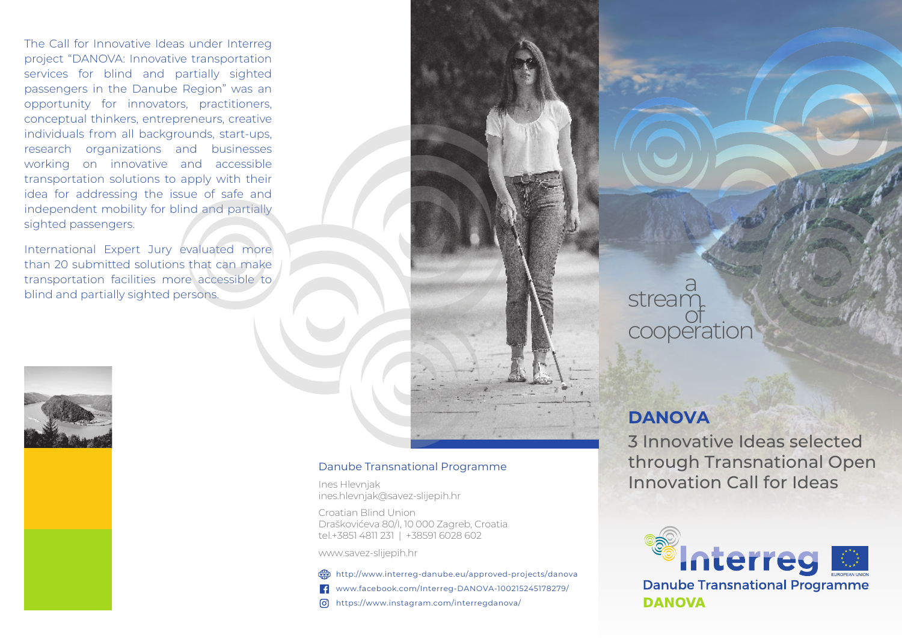research organizations and businesses working on innovative and accessible idea for addressing the issue of safe and The Call for Innovative Ideas under Interreg project "DANOVA: Innovative transportation services for blind and partially sighted passengers in the Danube Region" was an opportunity for innovators, practitioners, conceptual thinkers, entrepreneurs, creative individuals from all backgrounds, start-ups, transportation solutions to apply with their independent mobility for blind and partially sighted passengers.

International Expert Jury evaluated more than 20 submitted solutions that can make transportation facilities more accessible to blind and partially sighted persons.





### Danube Transnational Programme

Ines Hlevnjak ines.hlevnjak@savez-slijepih.hr

Croatian Blind Union Draškovićeva 80/I, 10 000 Zagreb, Croatia tel.+3851 4811 231 | +38591 6028 602

www.savez-slijepih.hr

http://www.interreg-danube.eu/approved-projects/danova www.facebook.com/Interreg-DANOVA-100215245178279/ https://www.instagram.com/interregdanova/

## cooperation stream a of

# **DANOVA**

3 Innovative Ideas selected through Transnational Open Innovation Call for Ideas